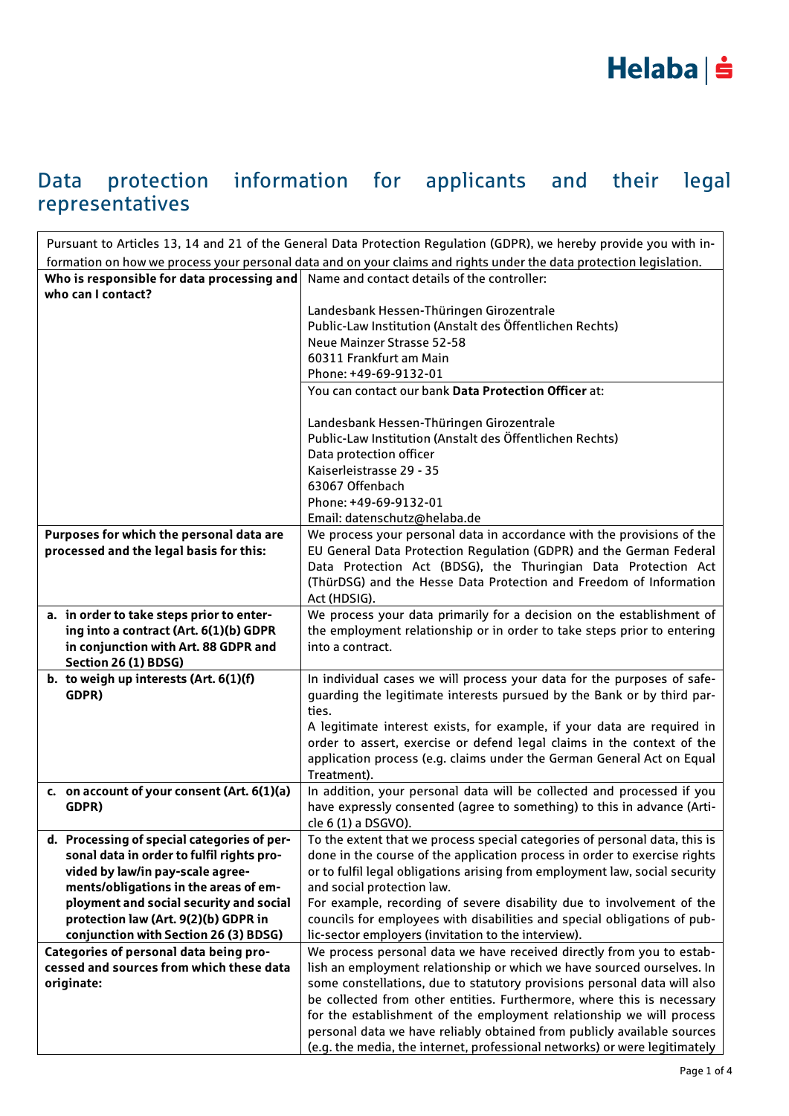### Data protection information for applicants and their legal representatives

| Pursuant to Articles 13, 14 and 21 of the General Data Protection Regulation (GDPR), we hereby provide you with in- |                                                                                                                                                   |  |
|---------------------------------------------------------------------------------------------------------------------|---------------------------------------------------------------------------------------------------------------------------------------------------|--|
| formation on how we process your personal data and on your claims and rights under the data protection legislation. |                                                                                                                                                   |  |
| Who is responsible for data processing and                                                                          | Name and contact details of the controller:                                                                                                       |  |
| who can I contact?                                                                                                  |                                                                                                                                                   |  |
|                                                                                                                     | Landesbank Hessen-Thüringen Girozentrale                                                                                                          |  |
|                                                                                                                     | Public-Law Institution (Anstalt des Öffentlichen Rechts)                                                                                          |  |
|                                                                                                                     | Neue Mainzer Strasse 52-58                                                                                                                        |  |
|                                                                                                                     | 60311 Frankfurt am Main                                                                                                                           |  |
|                                                                                                                     | Phone: +49-69-9132-01                                                                                                                             |  |
|                                                                                                                     | You can contact our bank Data Protection Officer at:                                                                                              |  |
|                                                                                                                     |                                                                                                                                                   |  |
|                                                                                                                     | Landesbank Hessen-Thüringen Girozentrale                                                                                                          |  |
|                                                                                                                     | Public-Law Institution (Anstalt des Öffentlichen Rechts)                                                                                          |  |
|                                                                                                                     | Data protection officer                                                                                                                           |  |
|                                                                                                                     | Kaiserleistrasse 29 - 35                                                                                                                          |  |
|                                                                                                                     | 63067 Offenbach                                                                                                                                   |  |
|                                                                                                                     | Phone: +49-69-9132-01                                                                                                                             |  |
|                                                                                                                     | Email: datenschutz@helaba.de                                                                                                                      |  |
| Purposes for which the personal data are                                                                            | We process your personal data in accordance with the provisions of the                                                                            |  |
| processed and the legal basis for this:                                                                             | EU General Data Protection Regulation (GDPR) and the German Federal                                                                               |  |
|                                                                                                                     | Data Protection Act (BDSG), the Thuringian Data Protection Act                                                                                    |  |
|                                                                                                                     | (ThürDSG) and the Hesse Data Protection and Freedom of Information                                                                                |  |
|                                                                                                                     | Act (HDSIG).                                                                                                                                      |  |
| a. in order to take steps prior to enter-                                                                           | We process your data primarily for a decision on the establishment of                                                                             |  |
| ing into a contract (Art. 6(1)(b) GDPR                                                                              | the employment relationship or in order to take steps prior to entering                                                                           |  |
| in conjunction with Art. 88 GDPR and                                                                                | into a contract.                                                                                                                                  |  |
| Section 26 (1) BDSG)                                                                                                |                                                                                                                                                   |  |
| b. to weigh up interests (Art. 6(1)(f)                                                                              | In individual cases we will process your data for the purposes of safe-                                                                           |  |
| GDPR)                                                                                                               | guarding the legitimate interests pursued by the Bank or by third par-                                                                            |  |
|                                                                                                                     | ties.                                                                                                                                             |  |
|                                                                                                                     | A legitimate interest exists, for example, if your data are required in<br>order to assert, exercise or defend legal claims in the context of the |  |
|                                                                                                                     | application process (e.g. claims under the German General Act on Equal                                                                            |  |
|                                                                                                                     | Treatment).                                                                                                                                       |  |
| c. on account of your consent (Art. 6(1)(a)                                                                         | In addition, your personal data will be collected and processed if you                                                                            |  |
| GDPR)                                                                                                               | have expressly consented (agree to something) to this in advance (Arti-                                                                           |  |
|                                                                                                                     | cle 6 (1) a DSGVO).                                                                                                                               |  |
| d. Processing of special categories of per-                                                                         | To the extent that we process special categories of personal data, this is                                                                        |  |
| sonal data in order to fulfil rights pro-                                                                           | done in the course of the application process in order to exercise rights                                                                         |  |
| vided by law/in pay-scale agree-                                                                                    | or to fulfil legal obligations arising from employment law, social security                                                                       |  |
| ments/obligations in the areas of em-                                                                               | and social protection law.                                                                                                                        |  |
| ployment and social security and social                                                                             | For example, recording of severe disability due to involvement of the                                                                             |  |
| protection law (Art. 9(2)(b) GDPR in                                                                                | councils for employees with disabilities and special obligations of pub-                                                                          |  |
| conjunction with Section 26 (3) BDSG)                                                                               | lic-sector employers (invitation to the interview).                                                                                               |  |
| Categories of personal data being pro-                                                                              | We process personal data we have received directly from you to estab-                                                                             |  |
| cessed and sources from which these data                                                                            | lish an employment relationship or which we have sourced ourselves. In                                                                            |  |
| originate:                                                                                                          | some constellations, due to statutory provisions personal data will also                                                                          |  |
|                                                                                                                     | be collected from other entities. Furthermore, where this is necessary                                                                            |  |
|                                                                                                                     | for the establishment of the employment relationship we will process                                                                              |  |
|                                                                                                                     | personal data we have reliably obtained from publicly available sources                                                                           |  |
|                                                                                                                     | (e.g. the media, the internet, professional networks) or were legitimately                                                                        |  |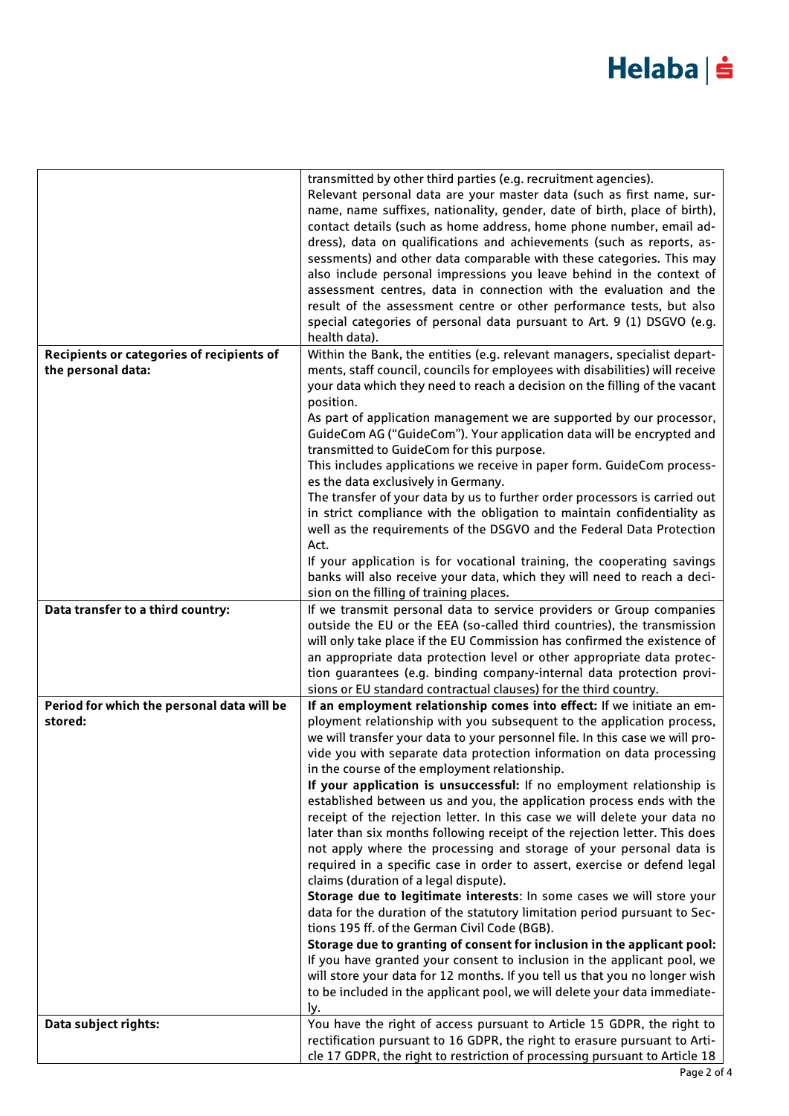# Helaba | s

|                                                       | transmitted by other third parties (e.g. recruitment agencies).<br>Relevant personal data are your master data (such as first name, sur-<br>name, name suffixes, nationality, gender, date of birth, place of birth),<br>contact details (such as home address, home phone number, email ad-<br>dress), data on qualifications and achievements (such as reports, as-<br>sessments) and other data comparable with these categories. This may<br>also include personal impressions you leave behind in the context of<br>assessment centres, data in connection with the evaluation and the<br>result of the assessment centre or other performance tests, but also<br>special categories of personal data pursuant to Art. 9 (1) DSGVO (e.g.<br>health data). |
|-------------------------------------------------------|----------------------------------------------------------------------------------------------------------------------------------------------------------------------------------------------------------------------------------------------------------------------------------------------------------------------------------------------------------------------------------------------------------------------------------------------------------------------------------------------------------------------------------------------------------------------------------------------------------------------------------------------------------------------------------------------------------------------------------------------------------------|
| Recipients or categories of recipients of             | Within the Bank, the entities (e.g. relevant managers, specialist depart-                                                                                                                                                                                                                                                                                                                                                                                                                                                                                                                                                                                                                                                                                      |
| the personal data:                                    | ments, staff council, councils for employees with disabilities) will receive<br>your data which they need to reach a decision on the filling of the vacant<br>position.<br>As part of application management we are supported by our processor,                                                                                                                                                                                                                                                                                                                                                                                                                                                                                                                |
|                                                       | GuideCom AG ("GuideCom"). Your application data will be encrypted and<br>transmitted to GuideCom for this purpose.                                                                                                                                                                                                                                                                                                                                                                                                                                                                                                                                                                                                                                             |
|                                                       | This includes applications we receive in paper form. GuideCom process-                                                                                                                                                                                                                                                                                                                                                                                                                                                                                                                                                                                                                                                                                         |
|                                                       | es the data exclusively in Germany.<br>The transfer of your data by us to further order processors is carried out                                                                                                                                                                                                                                                                                                                                                                                                                                                                                                                                                                                                                                              |
|                                                       | in strict compliance with the obligation to maintain confidentiality as<br>well as the requirements of the DSGVO and the Federal Data Protection<br>Act.                                                                                                                                                                                                                                                                                                                                                                                                                                                                                                                                                                                                       |
|                                                       | If your application is for vocational training, the cooperating savings                                                                                                                                                                                                                                                                                                                                                                                                                                                                                                                                                                                                                                                                                        |
|                                                       | banks will also receive your data, which they will need to reach a deci-                                                                                                                                                                                                                                                                                                                                                                                                                                                                                                                                                                                                                                                                                       |
|                                                       | sion on the filling of training places.                                                                                                                                                                                                                                                                                                                                                                                                                                                                                                                                                                                                                                                                                                                        |
| Data transfer to a third country:                     | If we transmit personal data to service providers or Group companies<br>outside the EU or the EEA (so-called third countries), the transmission<br>will only take place if the EU Commission has confirmed the existence of<br>an appropriate data protection level or other appropriate data protec-<br>tion guarantees (e.g. binding company-internal data protection provi-                                                                                                                                                                                                                                                                                                                                                                                 |
|                                                       | sions or EU standard contractual clauses) for the third country.                                                                                                                                                                                                                                                                                                                                                                                                                                                                                                                                                                                                                                                                                               |
| Period for which the personal data will be<br>stored: | If an employment relationship comes into effect: If we initiate an em-<br>ployment relationship with you subsequent to the application process,<br>we will transfer your data to your personnel file. In this case we will pro-<br>vide you with separate data protection information on data processing<br>in the course of the employment relationship.<br>If your application is unsuccessful: If no employment relationship is                                                                                                                                                                                                                                                                                                                             |
|                                                       | established between us and you, the application process ends with the                                                                                                                                                                                                                                                                                                                                                                                                                                                                                                                                                                                                                                                                                          |
|                                                       | receipt of the rejection letter. In this case we will delete your data no<br>later than six months following receipt of the rejection letter. This does<br>not apply where the processing and storage of your personal data is<br>required in a specific case in order to assert, exercise or defend legal<br>claims (duration of a legal dispute).                                                                                                                                                                                                                                                                                                                                                                                                            |
|                                                       | Storage due to legitimate interests: In some cases we will store your                                                                                                                                                                                                                                                                                                                                                                                                                                                                                                                                                                                                                                                                                          |
|                                                       | data for the duration of the statutory limitation period pursuant to Sec-                                                                                                                                                                                                                                                                                                                                                                                                                                                                                                                                                                                                                                                                                      |
|                                                       | tions 195 ff. of the German Civil Code (BGB).<br>Storage due to granting of consent for inclusion in the applicant pool:                                                                                                                                                                                                                                                                                                                                                                                                                                                                                                                                                                                                                                       |
|                                                       | If you have granted your consent to inclusion in the applicant pool, we<br>will store your data for 12 months. If you tell us that you no longer wish                                                                                                                                                                                                                                                                                                                                                                                                                                                                                                                                                                                                          |
|                                                       | to be included in the applicant pool, we will delete your data immediate-<br>ly.                                                                                                                                                                                                                                                                                                                                                                                                                                                                                                                                                                                                                                                                               |
| Data subject rights:                                  | You have the right of access pursuant to Article 15 GDPR, the right to<br>rectification pursuant to 16 GDPR, the right to erasure pursuant to Arti-                                                                                                                                                                                                                                                                                                                                                                                                                                                                                                                                                                                                            |
|                                                       | cle 17 GDPR, the right to restriction of processing pursuant to Article 18                                                                                                                                                                                                                                                                                                                                                                                                                                                                                                                                                                                                                                                                                     |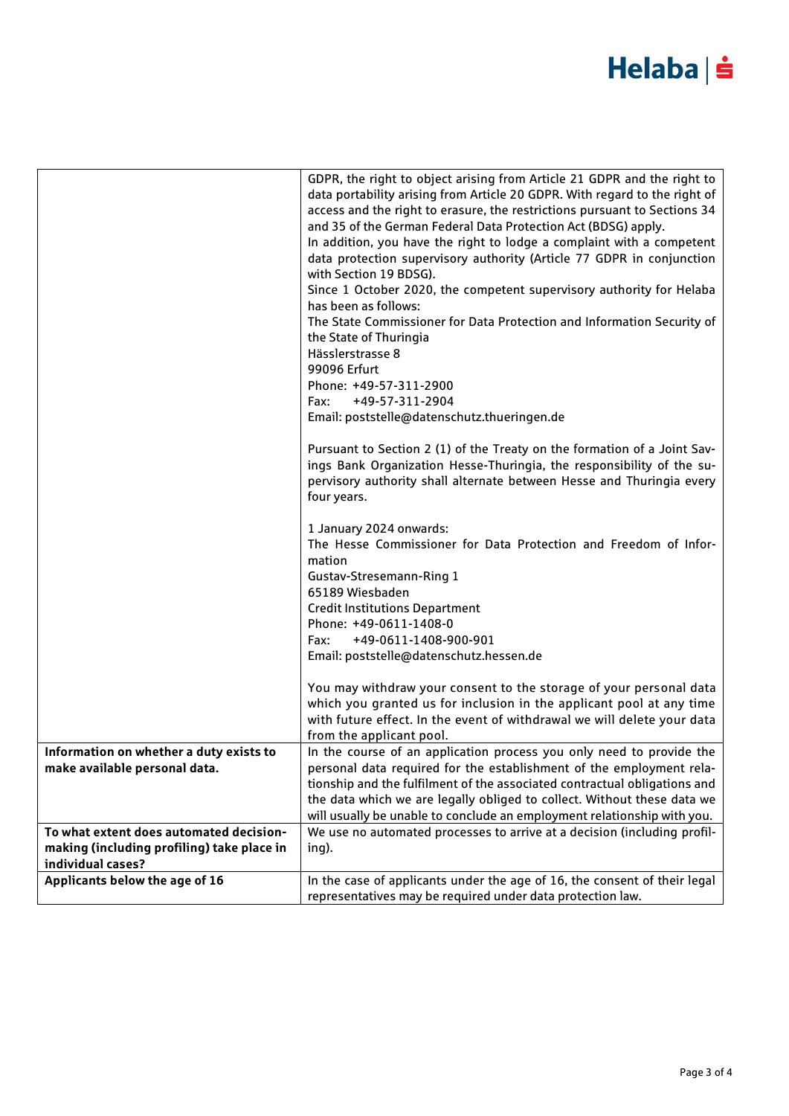## Helaba | s

|                                            | GDPR, the right to object arising from Article 21 GDPR and the right to<br>data portability arising from Article 20 GDPR. With regard to the right of<br>access and the right to erasure, the restrictions pursuant to Sections 34<br>and 35 of the German Federal Data Protection Act (BDSG) apply.<br>In addition, you have the right to lodge a complaint with a competent<br>data protection supervisory authority (Article 77 GDPR in conjunction<br>with Section 19 BDSG).<br>Since 1 October 2020, the competent supervisory authority for Helaba<br>has been as follows:<br>The State Commissioner for Data Protection and Information Security of<br>the State of Thuringia<br>Hässlerstrasse 8<br>99096 Erfurt<br>Phone: +49-57-311-2900<br>+49-57-311-2904<br>Fax:<br>Email: poststelle@datenschutz.thueringen.de<br>Pursuant to Section 2 (1) of the Treaty on the formation of a Joint Sav-<br>ings Bank Organization Hesse-Thuringia, the responsibility of the su-<br>pervisory authority shall alternate between Hesse and Thuringia every<br>four years.<br>1 January 2024 onwards:<br>The Hesse Commissioner for Data Protection and Freedom of Infor-<br>mation<br>Gustav-Stresemann-Ring 1<br>65189 Wiesbaden<br><b>Credit Institutions Department</b><br>Phone: +49-0611-1408-0<br>+49-0611-1408-900-901<br>Fax:<br>Email: poststelle@datenschutz.hessen.de<br>You may withdraw your consent to the storage of your personal data<br>which you granted us for inclusion in the applicant pool at any time<br>with future effect. In the event of withdrawal we will delete your data<br>from the applicant pool. |
|--------------------------------------------|---------------------------------------------------------------------------------------------------------------------------------------------------------------------------------------------------------------------------------------------------------------------------------------------------------------------------------------------------------------------------------------------------------------------------------------------------------------------------------------------------------------------------------------------------------------------------------------------------------------------------------------------------------------------------------------------------------------------------------------------------------------------------------------------------------------------------------------------------------------------------------------------------------------------------------------------------------------------------------------------------------------------------------------------------------------------------------------------------------------------------------------------------------------------------------------------------------------------------------------------------------------------------------------------------------------------------------------------------------------------------------------------------------------------------------------------------------------------------------------------------------------------------------------------------------------------------------------------------------------------------------------|
| Information on whether a duty exists to    | In the course of an application process you only need to provide the                                                                                                                                                                                                                                                                                                                                                                                                                                                                                                                                                                                                                                                                                                                                                                                                                                                                                                                                                                                                                                                                                                                                                                                                                                                                                                                                                                                                                                                                                                                                                                  |
| make available personal data.              | personal data required for the establishment of the employment rela-                                                                                                                                                                                                                                                                                                                                                                                                                                                                                                                                                                                                                                                                                                                                                                                                                                                                                                                                                                                                                                                                                                                                                                                                                                                                                                                                                                                                                                                                                                                                                                  |
|                                            | tionship and the fulfilment of the associated contractual obligations and<br>the data which we are legally obliged to collect. Without these data we                                                                                                                                                                                                                                                                                                                                                                                                                                                                                                                                                                                                                                                                                                                                                                                                                                                                                                                                                                                                                                                                                                                                                                                                                                                                                                                                                                                                                                                                                  |
|                                            | will usually be unable to conclude an employment relationship with you.                                                                                                                                                                                                                                                                                                                                                                                                                                                                                                                                                                                                                                                                                                                                                                                                                                                                                                                                                                                                                                                                                                                                                                                                                                                                                                                                                                                                                                                                                                                                                               |
| To what extent does automated decision-    | We use no automated processes to arrive at a decision (including profil-                                                                                                                                                                                                                                                                                                                                                                                                                                                                                                                                                                                                                                                                                                                                                                                                                                                                                                                                                                                                                                                                                                                                                                                                                                                                                                                                                                                                                                                                                                                                                              |
| making (including profiling) take place in | ing).                                                                                                                                                                                                                                                                                                                                                                                                                                                                                                                                                                                                                                                                                                                                                                                                                                                                                                                                                                                                                                                                                                                                                                                                                                                                                                                                                                                                                                                                                                                                                                                                                                 |
| individual cases?                          |                                                                                                                                                                                                                                                                                                                                                                                                                                                                                                                                                                                                                                                                                                                                                                                                                                                                                                                                                                                                                                                                                                                                                                                                                                                                                                                                                                                                                                                                                                                                                                                                                                       |
| Applicants below the age of 16             | In the case of applicants under the age of 16, the consent of their legal                                                                                                                                                                                                                                                                                                                                                                                                                                                                                                                                                                                                                                                                                                                                                                                                                                                                                                                                                                                                                                                                                                                                                                                                                                                                                                                                                                                                                                                                                                                                                             |
|                                            | representatives may be required under data protection law.                                                                                                                                                                                                                                                                                                                                                                                                                                                                                                                                                                                                                                                                                                                                                                                                                                                                                                                                                                                                                                                                                                                                                                                                                                                                                                                                                                                                                                                                                                                                                                            |